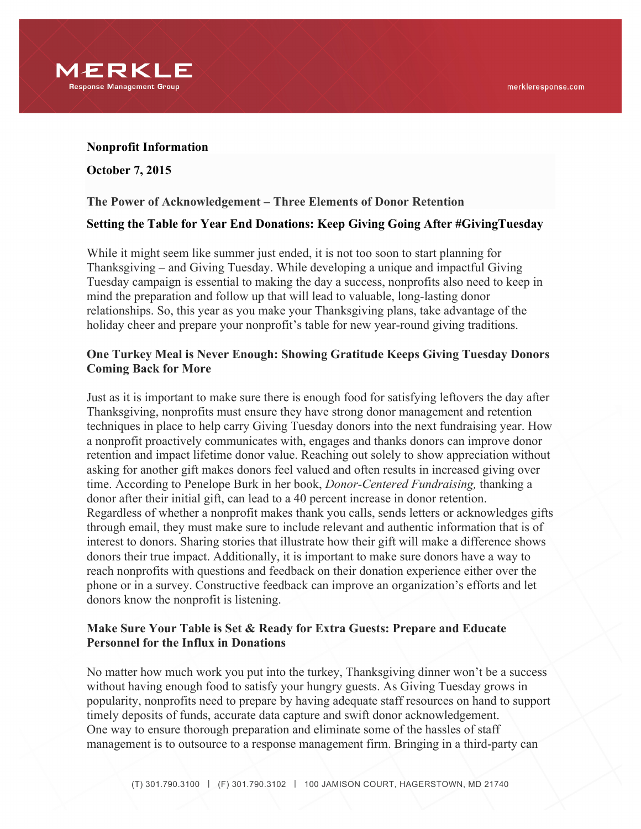

### **Nonprofit Information**

### **October 7, 2015**

### **The Power of Acknowledgement – Three Elements of Donor Retention**

### **Setting the Table for Year End Donations: Keep Giving Going After #GivingTuesday**

While it might seem like summer just ended, it is not too soon to start planning for Thanksgiving – and Giving Tuesday. While developing a unique and impactful Giving Tuesday campaign is essential to making the day a success, nonprofits also need to keep in mind the preparation and follow up that will lead to valuable, long-lasting donor relationships. So, this year as you make your Thanksgiving plans, take advantage of the holiday cheer and prepare your nonprofit's table for new year-round giving traditions.

# **One Turkey Meal is Never Enough: Showing Gratitude Keeps Giving Tuesday Donors Coming Back for More**

Just as it is important to make sure there is enough food for satisfying leftovers the day after Thanksgiving, nonprofits must ensure they have strong donor management and retention techniques in place to help carry Giving Tuesday donors into the next fundraising year. How a nonprofit proactively communicates with, engages and thanks donors can improve donor retention and impact lifetime donor value. Reaching out solely to show appreciation without asking for another gift makes donors feel valued and often results in increased giving over time. According to Penelope Burk in her book, *Donor-Centered Fundraising,* thanking a donor after their initial gift, can lead to a 40 percent increase in donor retention. Regardless of whether a nonprofit makes thank you calls, sends letters or acknowledges gifts through email, they must make sure to include relevant and authentic information that is of interest to donors. Sharing stories that illustrate how their gift will make a difference shows donors their true impact. Additionally, it is important to make sure donors have a way to reach nonprofits with questions and feedback on their donation experience either over the phone or in a survey. Constructive feedback can improve an organization's efforts and let donors know the nonprofit is listening.

### **Make Sure Your Table is Set & Ready for Extra Guests: Prepare and Educate Personnel for the Influx in Donations**

No matter how much work you put into the turkey, Thanksgiving dinner won't be a success without having enough food to satisfy your hungry guests. As Giving Tuesday grows in popularity, nonprofits need to prepare by having adequate staff resources on hand to support timely deposits of funds, accurate data capture and swift donor acknowledgement. One way to ensure thorough preparation and eliminate some of the hassles of staff management is to outsource to a response management firm. Bringing in a third-party can